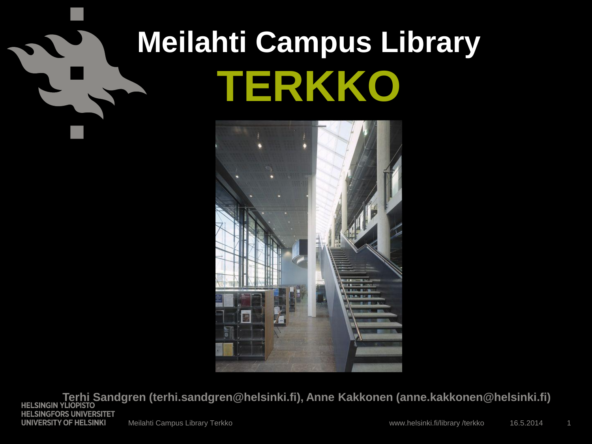# **Meilahti Campus Library TERKKO**



**Terhi Sandgren (terhi.sandgren@helsinki.fi), Anne Kakkonen (anne.kakkonen@helsinki.fi) HELSINGFORS UNIVERSITET UNIVERSITY OF HELSINKI** Meilahti Campus Library Terkko 16.5.2014 16.5.2014 16.5.2014 www.helsinki.fi/library /terkko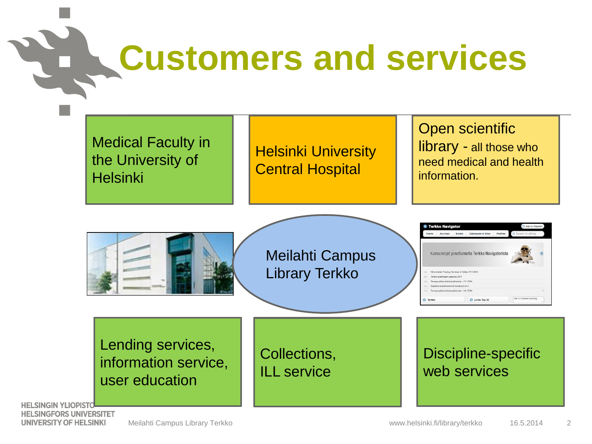# **Customers and services**

Medical Faculty in the University of **Helsinki** 

Helsinki University Central Hospital

Open scientific library - all those who need medical and health information.



**HELSINGIN YLIOPISTO HELSINGFORS UNIVERSITET** UNIVERSITY OF HELSINKI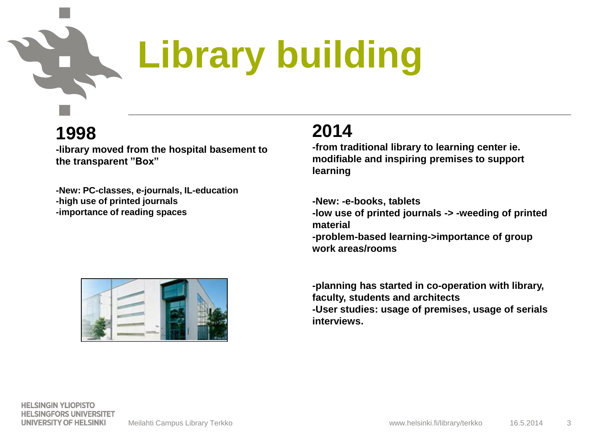### **Library building**

#### **1998**

**-library moved from the hospital basement to the transparent "Box"**

**-New: PC-classes, e-journals, IL-education -high use of printed journals -importance of reading spaces**

#### **2014**

**-from traditional library to learning center ie. modifiable and inspiring premises to support learning**

**-New: -e-books, tablets -low use of printed journals -> -weeding of printed material -problem-based learning->importance of group work areas/rooms**





**HELSINGIN YLIOPISTO HELSINGFORS UNIVERSITET** UNIVERSITY OF HELSINKI